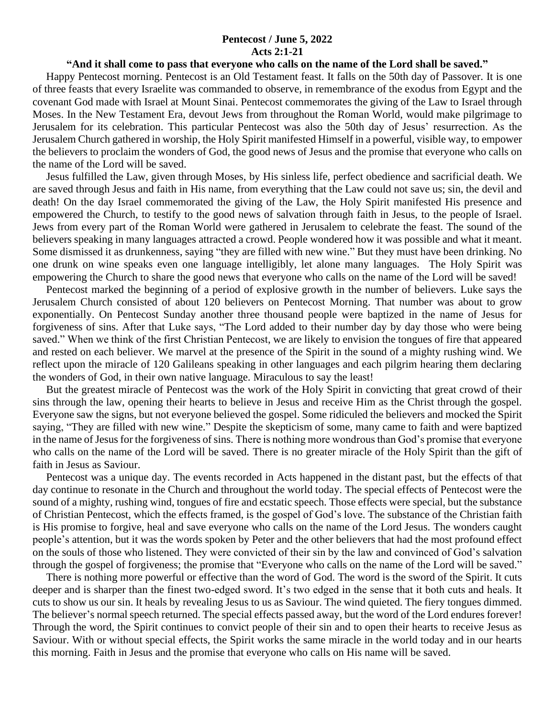## **Pentecost / June 5, 2022 Acts 2:1-21**

## **"And it shall come to pass that everyone who calls on the name of the Lord shall be saved."**

 Happy Pentecost morning. Pentecost is an Old Testament feast. It falls on the 50th day of Passover. It is one of three feasts that every Israelite was commanded to observe, in remembrance of the exodus from Egypt and the covenant God made with Israel at Mount Sinai. Pentecost commemorates the giving of the Law to Israel through Moses. In the New Testament Era, devout Jews from throughout the Roman World, would make pilgrimage to Jerusalem for its celebration. This particular Pentecost was also the 50th day of Jesus' resurrection. As the Jerusalem Church gathered in worship, the Holy Spirit manifested Himself in a powerful, visible way, to empower the believers to proclaim the wonders of God, the good news of Jesus and the promise that everyone who calls on the name of the Lord will be saved.

 Jesus fulfilled the Law, given through Moses, by His sinless life, perfect obedience and sacrificial death. We are saved through Jesus and faith in His name, from everything that the Law could not save us; sin, the devil and death! On the day Israel commemorated the giving of the Law, the Holy Spirit manifested His presence and empowered the Church, to testify to the good news of salvation through faith in Jesus, to the people of Israel. Jews from every part of the Roman World were gathered in Jerusalem to celebrate the feast. The sound of the believers speaking in many languages attracted a crowd. People wondered how it was possible and what it meant. Some dismissed it as drunkenness, saying "they are filled with new wine." But they must have been drinking. No one drunk on wine speaks even one language intelligibly, let alone many languages. The Holy Spirit was empowering the Church to share the good news that everyone who calls on the name of the Lord will be saved!

 Pentecost marked the beginning of a period of explosive growth in the number of believers. Luke says the Jerusalem Church consisted of about 120 believers on Pentecost Morning. That number was about to grow exponentially. On Pentecost Sunday another three thousand people were baptized in the name of Jesus for forgiveness of sins. After that Luke says, "The Lord added to their number day by day those who were being saved." When we think of the first Christian Pentecost, we are likely to envision the tongues of fire that appeared and rested on each believer. We marvel at the presence of the Spirit in the sound of a mighty rushing wind. We reflect upon the miracle of 120 Galileans speaking in other languages and each pilgrim hearing them declaring the wonders of God, in their own native language. Miraculous to say the least!

 But the greatest miracle of Pentecost was the work of the Holy Spirit in convicting that great crowd of their sins through the law, opening their hearts to believe in Jesus and receive Him as the Christ through the gospel. Everyone saw the signs, but not everyone believed the gospel. Some ridiculed the believers and mocked the Spirit saying, "They are filled with new wine." Despite the skepticism of some, many came to faith and were baptized in the name of Jesus for the forgiveness of sins. There is nothing more wondrous than God's promise that everyone who calls on the name of the Lord will be saved. There is no greater miracle of the Holy Spirit than the gift of faith in Jesus as Saviour.

 Pentecost was a unique day. The events recorded in Acts happened in the distant past, but the effects of that day continue to resonate in the Church and throughout the world today. The special effects of Pentecost were the sound of a mighty, rushing wind, tongues of fire and ecstatic speech. Those effects were special, but the substance of Christian Pentecost, which the effects framed, is the gospel of God's love. The substance of the Christian faith is His promise to forgive, heal and save everyone who calls on the name of the Lord Jesus. The wonders caught people's attention, but it was the words spoken by Peter and the other believers that had the most profound effect on the souls of those who listened. They were convicted of their sin by the law and convinced of God's salvation through the gospel of forgiveness; the promise that "Everyone who calls on the name of the Lord will be saved."

 There is nothing more powerful or effective than the word of God. The word is the sword of the Spirit. It cuts deeper and is sharper than the finest two-edged sword. It's two edged in the sense that it both cuts and heals. It cuts to show us our sin. It heals by revealing Jesus to us as Saviour. The wind quieted. The fiery tongues dimmed. The believer's normal speech returned. The special effects passed away, but the word of the Lord endures forever! Through the word, the Spirit continues to convict people of their sin and to open their hearts to receive Jesus as Saviour. With or without special effects, the Spirit works the same miracle in the world today and in our hearts this morning. Faith in Jesus and the promise that everyone who calls on His name will be saved.